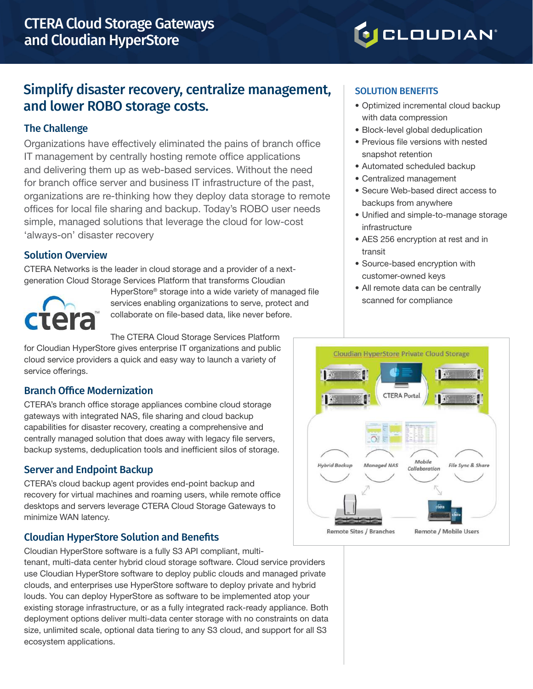# **O**CLOUDIAN®

## Simplify disaster recovery, centralize management, and lower ROBO storage costs.

#### The Challenge

Organizations have effectively eliminated the pains of branch office IT management by centrally hosting remote office applications and delivering them up as web-based services. Without the need for branch office server and business IT infrastructure of the past, organizations are re-thinking how they deploy data storage to remote offices for local file sharing and backup. Today's ROBO user needs simple, managed solutions that leverage the cloud for low-cost 'always-on' disaster recovery

#### Solution Overview

CTERA Networks is the leader in cloud storage and a provider of a nextgeneration Cloud Storage Services Platform that transforms Cloudian



HyperStore® storage into a wide variety of managed file services enabling organizations to serve, protect and collaborate on file-based data, like never before.

The CTERA Cloud Storage Services Platform

for Cloudian HyperStore gives enterprise IT organizations and public cloud service providers a quick and easy way to launch a variety of service offerings.

#### Branch Office Modernization

CTERA's branch office storage appliances combine cloud storage gateways with integrated NAS, file sharing and cloud backup capabilities for disaster recovery, creating a comprehensive and centrally managed solution that does away with legacy file servers, backup systems, deduplication tools and inefficient silos of storage.

## Server and Endpoint Backup

CTERA's cloud backup agent provides end-point backup and recovery for virtual machines and roaming users, while remote office desktops and servers leverage CTERA Cloud Storage Gateways to minimize WAN latency.

## Cloudian HyperStore Solution and Benefits

Cloudian HyperStore software is a fully S3 API compliant, multitenant, multi-data center hybrid cloud storage software. Cloud service providers use Cloudian HyperStore software to deploy public clouds and managed private clouds, and enterprises use HyperStore software to deploy private and hybrid louds. You can deploy HyperStore as software to be implemented atop your existing storage infrastructure, or as a fully integrated rack-ready appliance. Both deployment options deliver multi-data center storage with no constraints on data size, unlimited scale, optional data tiering to any S3 cloud, and support for all S3 ecosystem applications.

#### SOLUTION BENEFITS

- Optimized incremental cloud backup with data compression
- Block-level global deduplication
- Previous file versions with nested snapshot retention
- Automated scheduled backup
- Centralized management
- Secure Web-based direct access to backups from anywhere
- Unified and simple-to-manage storage infrastructure
- AES 256 encryption at rest and in transit
- Source-based encryption with customer-owned keys
- All remote data can be centrally scanned for compliance